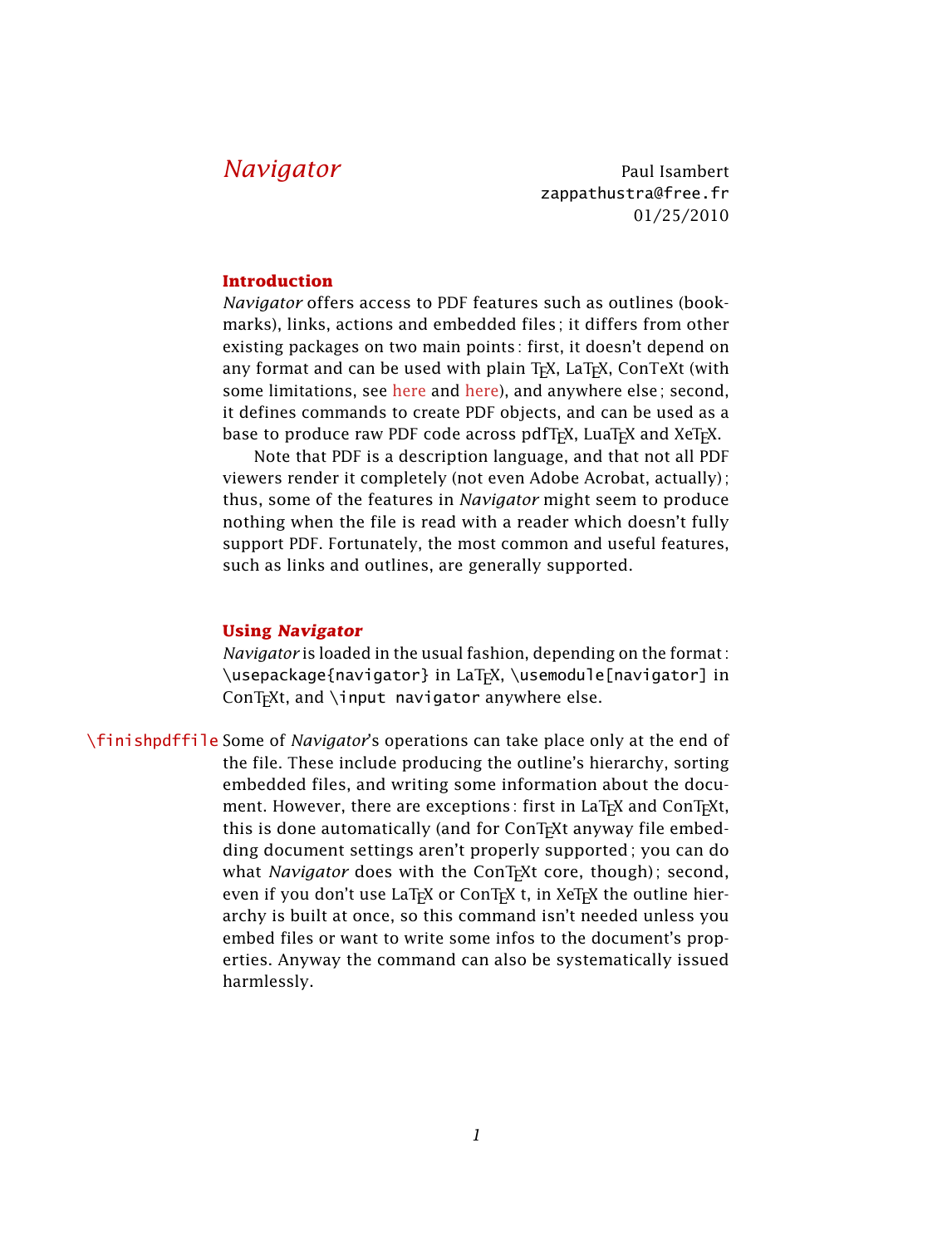*Navigator* Paul Isambert zappathustra@free.fr 01/25/2010

# **Introduction**

*Navigator* offers access to PDF features such as outlines (bookmarks), links, actions and embedded files ; it differs from other existing packages on two main points : first, it doesn't depend on any format and can be used with plain T<sub>F</sub>X, LaT<sub>F</sub>X, ConTeXt (with some limitations, see [here](#page-8-0) and [here\)](#page-10-0), and anywhere else; second, it defines commands to create PDF objects, and can be used as a base to produce raw PDF code across pdfT<sub>F</sub>X, LuaT<sub>F</sub>X and XeT<sub>F</sub>X.

Note that PDF is a description language, and that not all PDF viewers render it completely (not even Adobe Acrobat, actually) ; thus, some of the features in *Navigator* might seem to produce nothing when the file is read with a reader which doesn't fully support PDF. Fortunately, the most common and useful features, such as links and outlines, are generally supported.

#### **Using Navigator**

*Navigator* is loaded in the usual fashion, depending on the format : \usepackage{navigator} in LaTEX, \usemodule[navigator] in ConT<sub>F</sub>Xt, and  $\infty$  navigator anywhere else.

\finishpdffile Some of *Navigator*'s operations can take place only at the end of the file. These include producing the outline's hierarchy, sorting embedded files, and writing some information about the document. However, there are exceptions: first in LaT<sub>F</sub>X and ConT<sub>F</sub>Xt, this is done automatically (and for ConT<sub>F</sub>Xt anyway file embedding document settings aren't properly supported; you can do what *Navigator* does with the ConT<sub>E</sub>Xt core, though); second, even if you don't use LaT<sub>F</sub>X or ConT<sub>F</sub>X t, in XeT<sub>F</sub>X the outline hierarchy is built at once, so this command isn't needed unless you embed files or want to write some infos to the document's properties. Anyway the command can also be systematically issued harmlessly.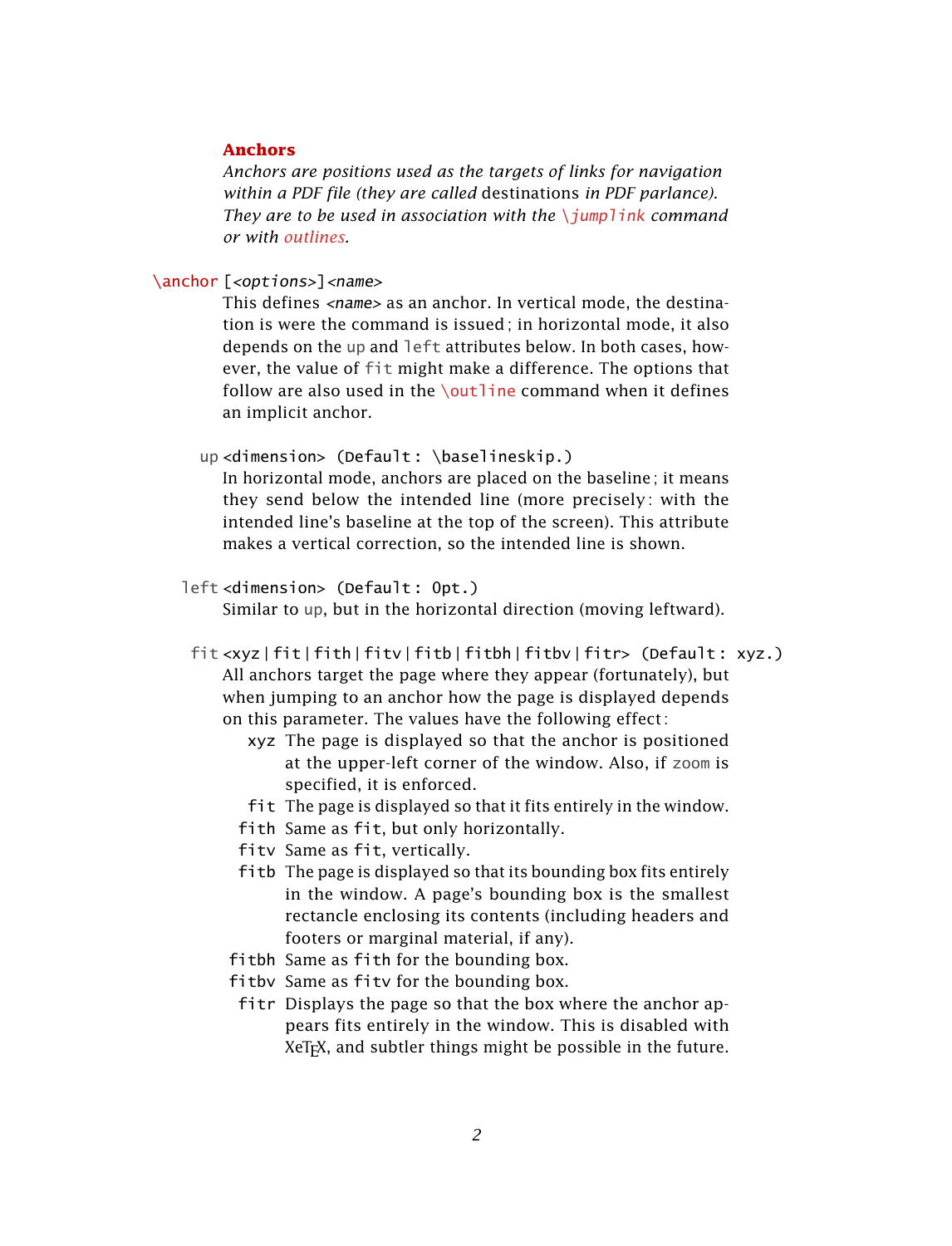# <span id="page-1-1"></span>**Anchors**

*Anchors are positions used as the targets of links for navigation within a PDF file (they are called* destinations *in PDF parlance). They are to be used in association with the* \*jumplink command or with [outlines](#page-2-0).*

<span id="page-1-0"></span>\anchor [<options>]<name>

This defines  $\langle$ name $\rangle$  as an anchor. In vertical mode, the destination is were the command is issued; in horizontal mode, it also depends on the up and left attributes below. In both cases, however, the value of fit might make a difference. The options that follow are also used in the  $\lceil \cdot \cdot \rceil$  command when it defines an implicit anchor.

up <dimension> (Default : \baselineskip.)

In horizontal mode, anchors are placed on the baseline ; it means they send below the intended line (more precisely : with the intended line's baseline at the top of the screen). This attribute makes a vertical correction, so the intended line is shown.

left <dimension> (Default : 0pt.)

Similar to up, but in the horizontal direction (moving leftward).

fit <xyz|fit|fith|fitv|fitb|fitbh|fitbv|fitr> (Default : xyz.) All anchors target the page where they appear (fortunately), but when jumping to an anchor how the page is displayed depends on this parameter. The values have the following effect :

- xyz The page is displayed so that the anchor is positioned at the upper-left corner of the window. Also, if zoom is specified, it is enforced.
- fit The page is displayed so that it fits entirely in the window.
- fith Same as fit, but only horizontally.
- fitv Same as fit, vertically.
- fitb The page is displayed so that its bounding box fits entirely in the window. A page's bounding box is the smallest rectancle enclosing its contents (including headers and footers or marginal material, if any).
- fitbh Same as fith for the bounding box.
- fitbv Same as fitv for the bounding box.
- fitr Displays the page so that the box where the anchor appears fits entirely in the window. This is disabled with XeT<sub>F</sub>X, and subtler things might be possible in the future.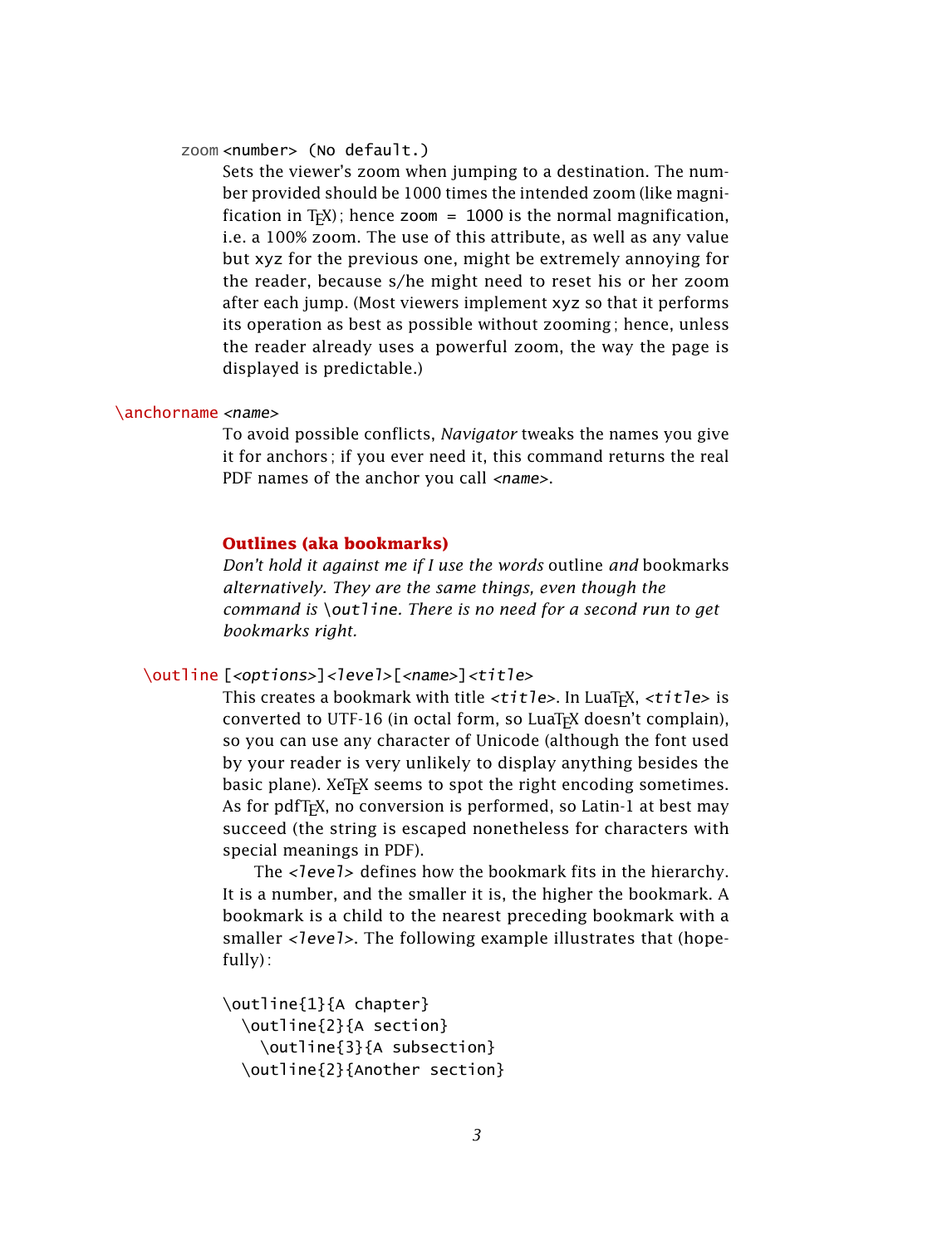#### zoom <number> (No default.)

Sets the viewer's zoom when jumping to a destination. The number provided should be 1000 times the intended zoom (like magnification in T<sub>F</sub>X); hence zoom = 1000 is the normal magnification, i.e. a 100% zoom. The use of this attribute, as well as any value but xyz for the previous one, might be extremely annoying for the reader, because s/he might need to reset his or her zoom after each jump. (Most viewers implement xyz so that it performs its operation as best as possible without zooming ; hence, unless the reader already uses a powerful zoom, the way the page is displayed is predictable.)

#### \anchorname <name>

To avoid possible conflicts, *Navigator* tweaks the names you give it for anchors ; if you ever need it, this command returns the real PDF names of the anchor you call <name>.

# <span id="page-2-0"></span>**Outlines (aka bookmarks)**

*Don't hold it against me if I use the words* outline *and* bookmarks *alternatively. They are the same things, even though the command is* \outline*. There is no need for a second run to get bookmarks right.*

<span id="page-2-1"></span>\outline [<options>]<level>[<name>]<title>

This creates a bookmark with title  $\langle \text{title} \rangle$ . In LuaT<sub>F</sub>X,  $\langle \text{title} \rangle$  is converted to UTF-16 (in octal form, so LuaT<sub>F</sub>X doesn't complain), so you can use any character of Unicode (although the font used by your reader is very unlikely to display anything besides the basic plane). XeT<sub>F</sub>X seems to spot the right encoding sometimes. As for pdfT<sub>F</sub>X, no conversion is performed, so Latin-1 at best may succeed (the string is escaped nonetheless for characters with special meanings in PDF).

The <level> defines how the bookmark fits in the hierarchy. It is a number, and the smaller it is, the higher the bookmark. A bookmark is a child to the nearest preceding bookmark with a smaller <level>. The following example illustrates that (hopefully) :

```
\outline{1}{A chapter}
  \outline{2}{A section}
    \outline{3}{A subsection}
  \outline{2}{Another section}
```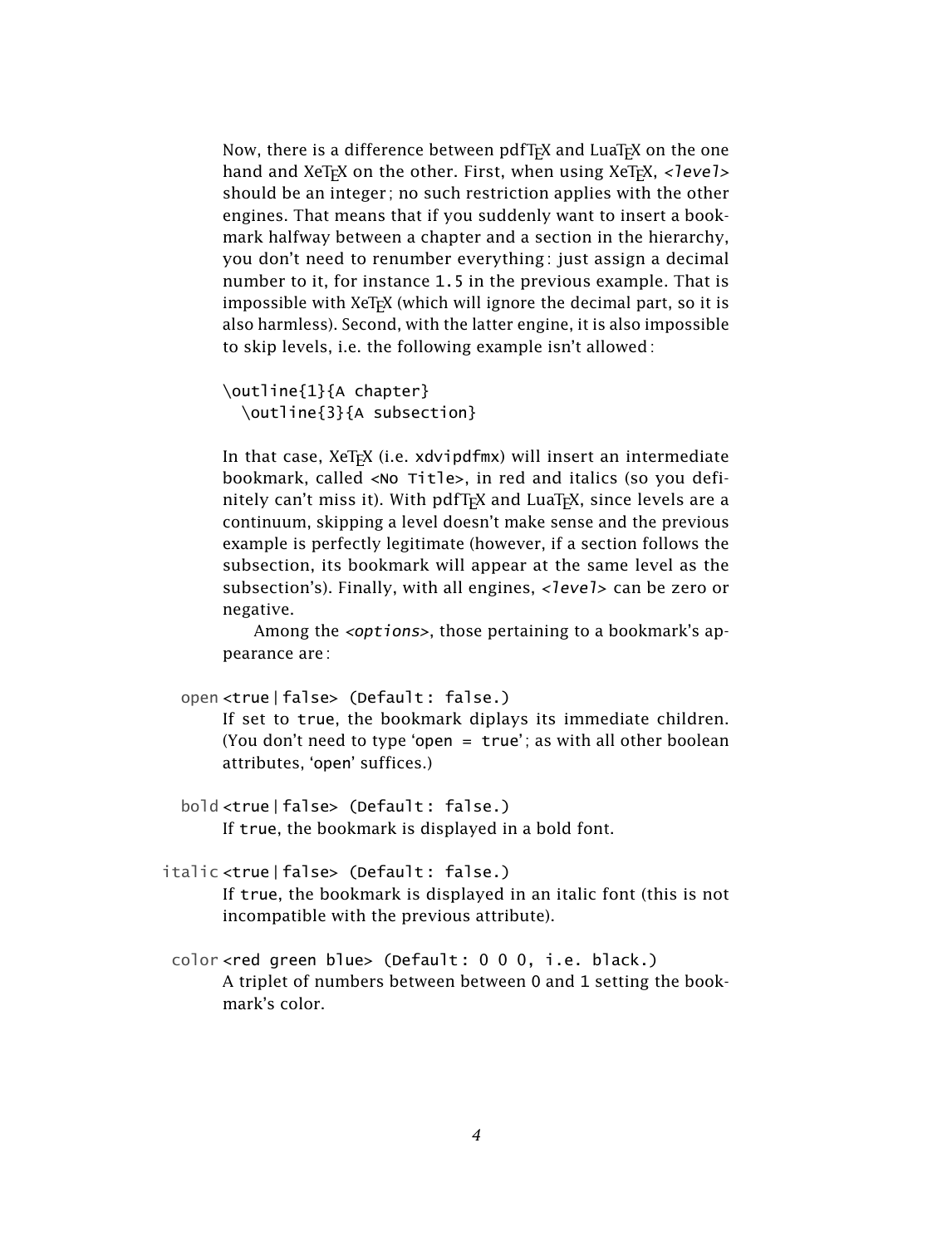Now, there is a difference between pdfT<sub>F</sub>X and LuaT<sub>F</sub>X on the one hand and XeT<sub>E</sub>X on the other. First, when using XeT<sub>E</sub>X, <level> should be an integer ; no such restriction applies with the other engines. That means that if you suddenly want to insert a bookmark halfway between a chapter and a section in the hierarchy, you don't need to renumber everything: just assign a decimal number to it, for instance 1.5 in the previous example. That is impossible with XeT<sub>F</sub>X (which will ignore the decimal part, so it is also harmless). Second, with the latter engine, it is also impossible to skip levels, i.e. the following example isn't allowed :

```
\outline{1}{A chapter}
  \outline{3}{A subsection}
```
In that case,  $XeTrX$  (i.e.  $xdvipdfmx$ ) will insert an intermediate bookmark, called <No Title>, in red and italics (so you definitely can't miss it). With pdfT<sub>F</sub>X and LuaT<sub>F</sub>X, since levels are a continuum, skipping a level doesn't make sense and the previous example is perfectly legitimate (however, if a section follows the subsection, its bookmark will appear at the same level as the subsection's). Finally, with all engines, <level> can be zero or negative.

Among the <options>, those pertaining to a bookmark's appearance are :

```
open <true|false> (Default : false.)
```
If set to true, the bookmark diplays its immediate children. (You don't need to type 'open =  $true$ '; as with all other boolean attributes, `open' suffices.)

bold <true|false> (Default : false.) If true, the bookmark is displayed in a bold font.

italic <true|false> (Default : false.)

If true, the bookmark is displayed in an italic font (this is not incompatible with the previous attribute).

color <red green blue> (Default : 0 0 0, i.e. black.) A triplet of numbers between between 0 and 1 setting the bookmark's color.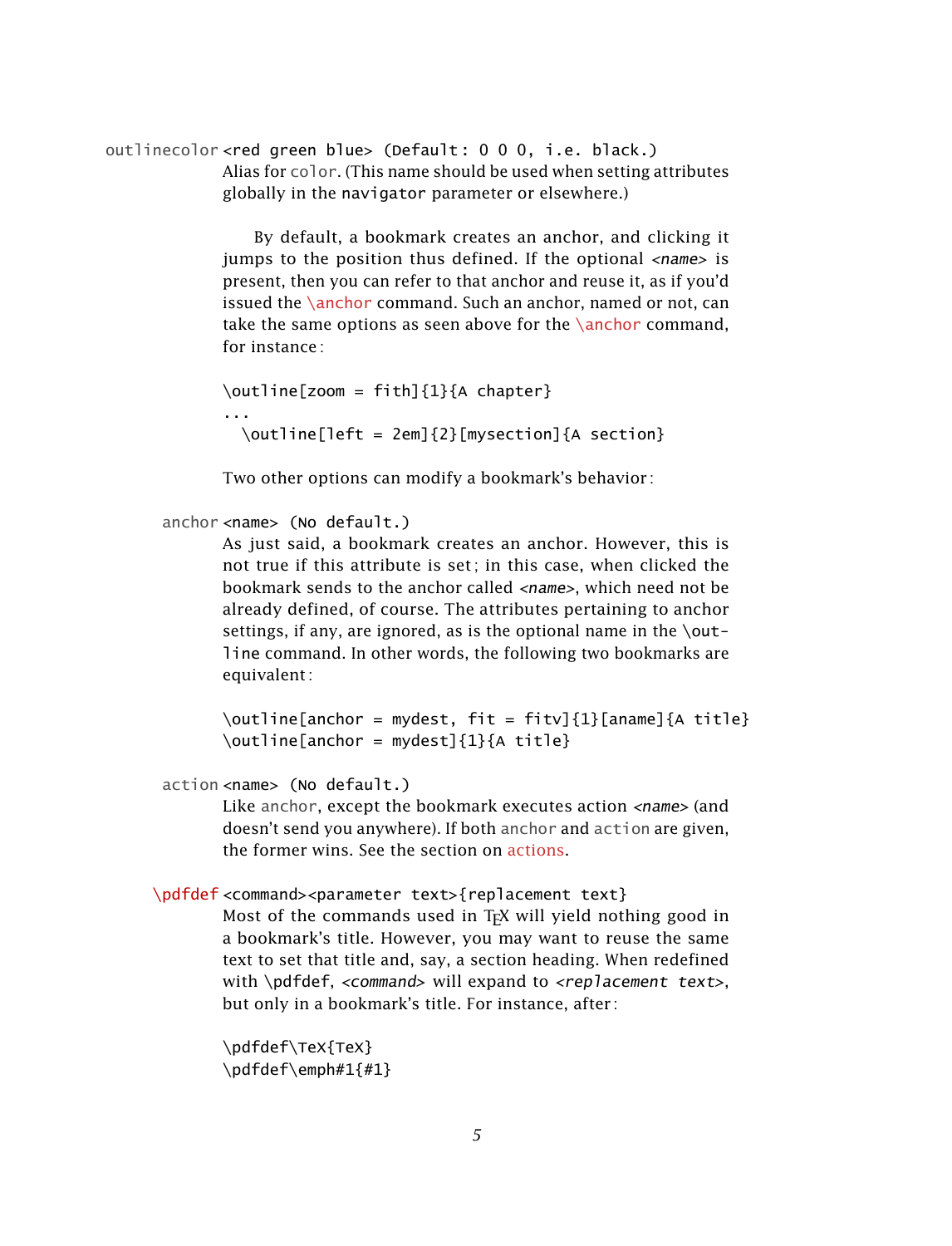outlinecolor <red green blue> (Default : 0 0 0, i.e. black.) Alias for color. (This name should be used when setting attributes globally in the navigator parameter or elsewhere.)

> By default, a bookmark creates an anchor, and clicking it jumps to the position thus defined. If the optional  $\langle$ name $\rangle$  is present, then you can refer to that anchor and reuse it, as if you'd issued the  $\langle$  anchor command. Such an anchor, named or not, can take the same options as seen above for the [\anchor](#page-1-0) command, for instance :

```
\outline[zoom = fith]{1}{A chapter}...
 \outline[left = 2em]{2}[mysection]{A section}
```
Two other options can modify a bookmark's behavior :

```
anchor <name> (No default.)
```
As just said, a bookmark creates an anchor. However, this is not true if this attribute is set ; in this case, when clicked the bookmark sends to the anchor called <name>, which need not be already defined, of course. The attributes pertaining to anchor settings, if any, are ignored, as is the optional name in the  $\setminus$ outline command. In other words, the following two bookmarks are equivalent :

\outline[anchor = mydest, fit = fitv]{1}[aname]{A title} \outline[anchor = mydest]{1}{A title}

action <name> (No default.)

Like anchor, except the bookmark executes action <name> (and doesn't send you anywhere). If both anchor and action are given, the former wins. See the section on [actions.](#page-7-0)

# \pdfdef <command><parameter text>{replacement text}

Most of the commands used in T<sub>F</sub>X will yield nothing good in a bookmark's title. However, you may want to reuse the same text to set that title and, say, a section heading. When redefined with \pdfdef, <command> will expand to <replacement text>, but only in a bookmark's title. For instance, after :

```
\pdfdef\TeX{TeX}
\pdfdef\emph#1{#1}
```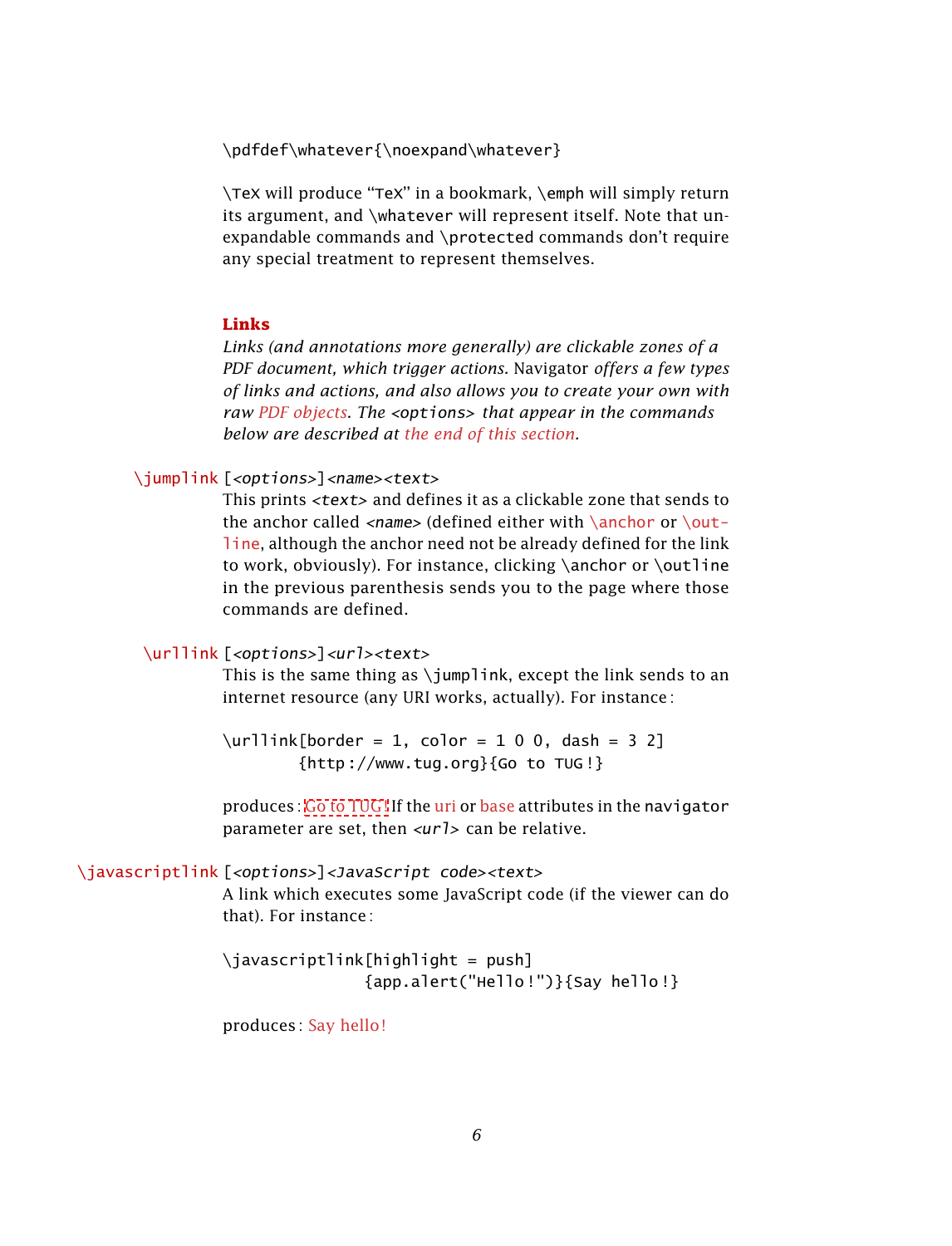\pdfdef\whatever{\noexpand\whatever}

\TeX will produce "TeX" in a bookmark, \emph will simply return its argument, and \whatever will represent itself. Note that unexpandable commands and \protected commands don't require any special treatment to represent themselves.

### <span id="page-5-2"></span>**Links**

*Links (and annotations more generally) are clickable zones of a PDF document, which trigger actions.* Navigator *offers a few types of links and actions, and also allows you to create your own with raw [PDF objects.](#page-12-0) The* <options> *that appear in the commands below are described at [the end of this section.](#page-6-0)*

## <span id="page-5-0"></span>\jumplink [<options>]<name><text>

This prints <text> and defines it as a clickable zone that sends to the anchor called  $\langle$ name> (defined either with  $\langle$ anchor or  $\langle$ out[line](#page-2-1), although the anchor need not be already defined for the link to work, obviously). For instance, clicking \anchor or \outline in the previous parenthesis sends you to the page where those commands are defined.

# <span id="page-5-1"></span>\urllink [<options>]<url><text>

This is the same thing as  $\iota$  iumplink, except the link sends to an internet resource (any URI works, actually). For instance :

 $\urllink[border = 1, color = 1 0 0, dash = 3 2]$  ${http://www.tug.org}{Go to TUG!}$ 

produces : Go to [TUG](http://www.tug.org) ! If the [uri](#page-12-1) or [base](#page-12-2) attributes in the navigator parameter are set, then  $\langle \text{url} \rangle$  can be relative.

#### \javascriptlink [<options>]<JavaScript code><text>

A link which executes some JavaScript code (if the viewer can do that). For instance :

\javascriptlink[highlight = push] {app.alert("Hello !")}{Say hello !}

produces : Say hello !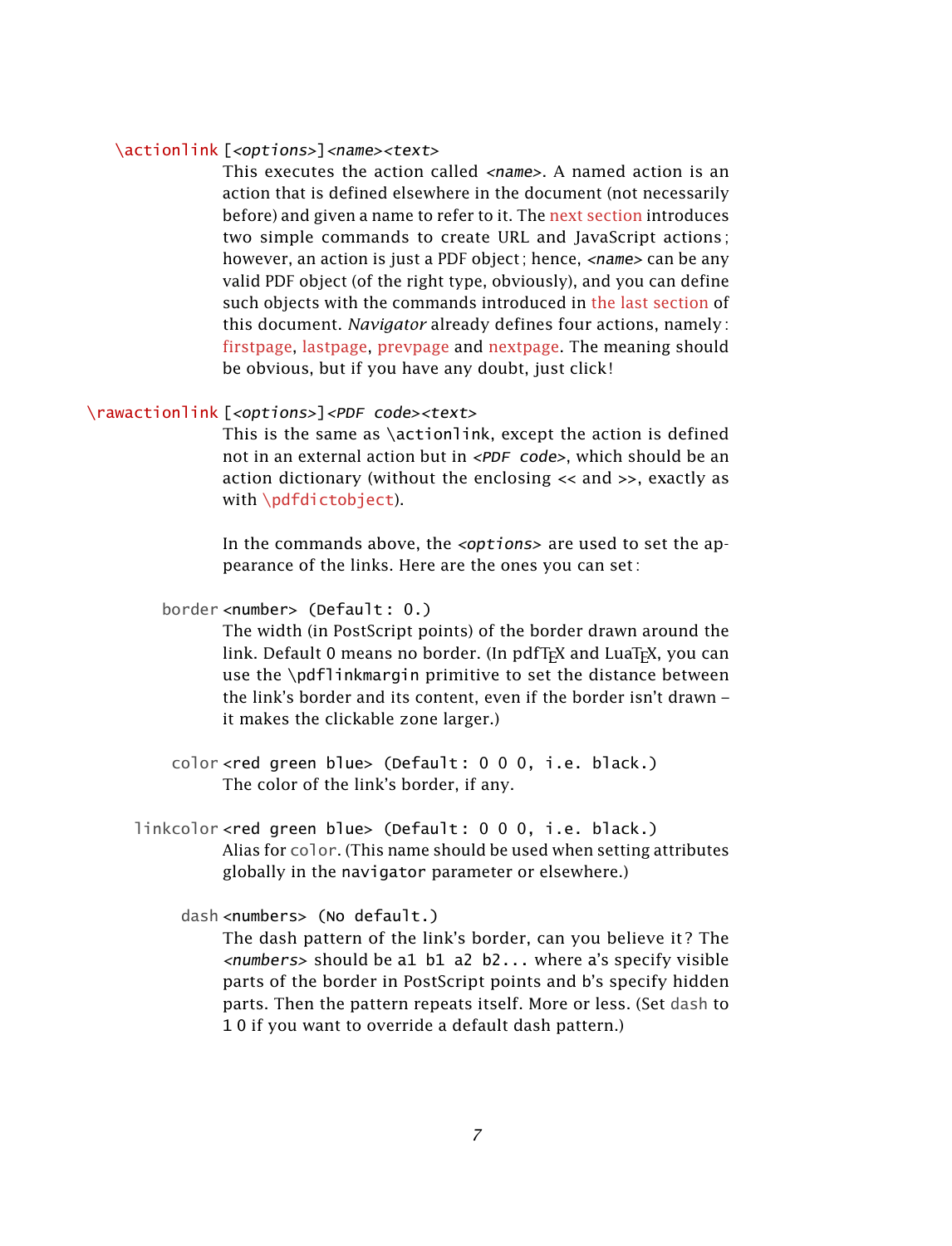## <span id="page-6-1"></span>\actionlink [<options>]<name><text>

This executes the action called  $\langle$ *name*>. A named action is an action that is defined elsewhere in the document (not necessarily before) and given a name to refer to it. The next [section](#page-7-0) introduces two simple commands to create URL and JavaScript actions ; however, an action is just a PDF object; hence,  $\langle$  -name  $\rangle$  can be any valid PDF object (of the right type, obviously), and you can define such objects with the commands introduced in the last [section](#page-12-0) of this document. *Navigator* already defines four actions, namely : firstpage, lastpage, prevpage and nextpage. The meaning should be obvious, but if you have any doubt, just click !

## \rawactionlink [<options>]<PDF code><text>

This is the same as \actionlink, except the action is defined not in an external action but in <PDF code>, which should be an action dictionary (without the enclosing << and >>, exactly as with [\pdfdictobject](#page-13-0)).

<span id="page-6-0"></span>In the commands above, the  $\langle options\rangle$  are used to set the appearance of the links. Here are the ones you can set :

border <number> (Default : 0.)

The width (in PostScript points) of the border drawn around the link. Default 0 means no border. (In pdfTFX and LuaTFX, you can use the \pdflinkmargin primitive to set the distance between the link's border and its content, even if the border isn't drawn – it makes the clickable zone larger.)

- color <red green blue> (Default : 0 0 0, i.e. black.) The color of the link's border, if any.
- linkcolor <red green blue> (Default : 0 0 0, i.e. black.) Alias for color. (This name should be used when setting attributes globally in the navigator parameter or elsewhere.)

dash <numbers> (No default.)

The dash pattern of the link's border, can you believe it ? The  $\langle$  -numbers  $>$  should be a1 b1 a2 b2... where a's specify visible parts of the border in PostScript points and b's specify hidden parts. Then the pattern repeats itself. More or less. (Set dash to 1 0 if you want to override a default dash pattern.)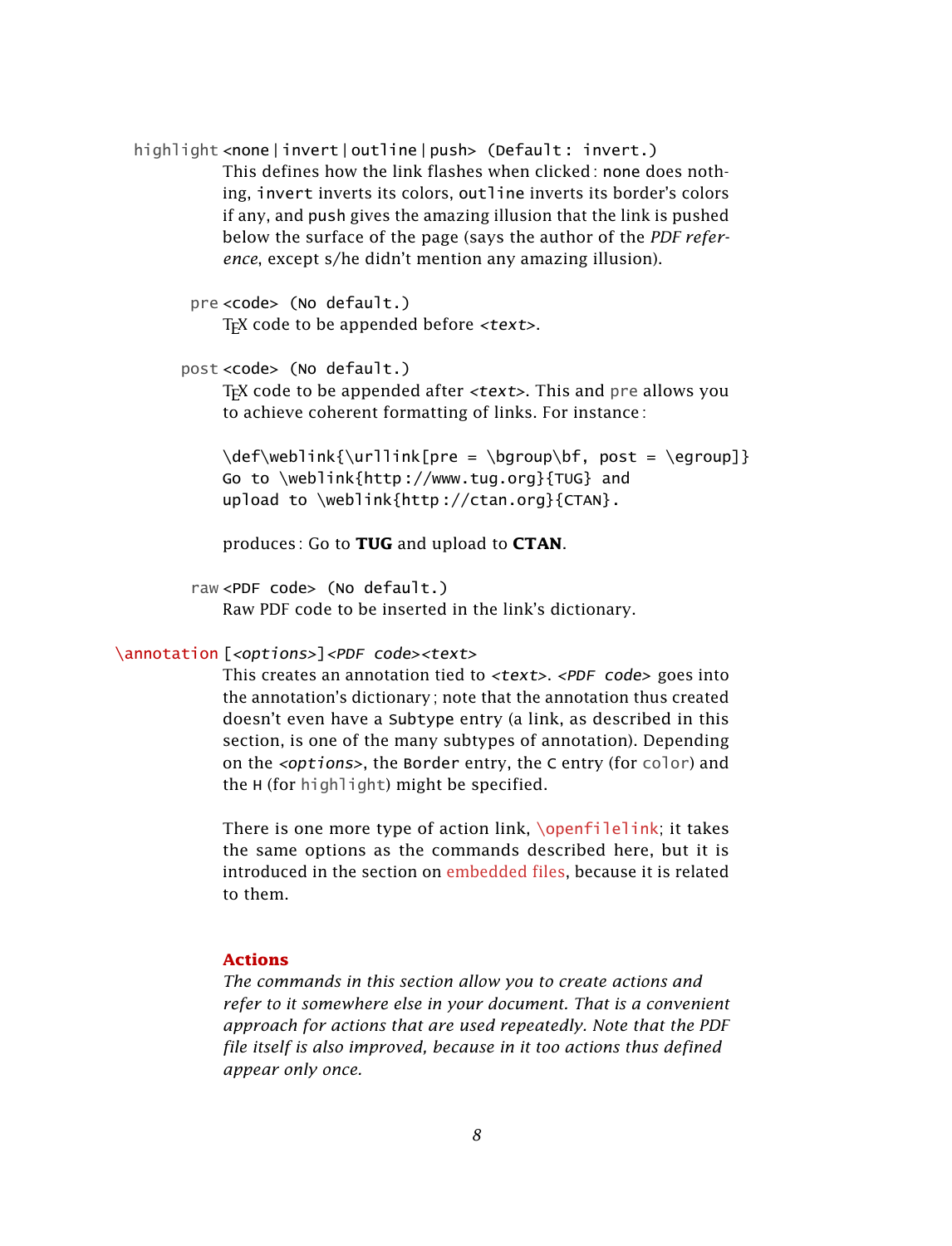highlight <none|invert|outline|push> (Default: invert.) This defines how the link flashes when clicked: none does nothing, invert inverts its colors, outline inverts its border's colors if any, and push gives the amazing illusion that the link is pushed below the surface of the page (says the author of the *PDF reference*, except s/he didn't mention any amazing illusion).

```
pre <code> (No default.)
     T<sub>F</sub>X code to be appended before \langle \text{text} \rangle.
```

```
post <code> (No default.)</sup>
```
T<sub>EX</sub> code to be appended after  $\langle \text{text} \rangle$ . This and pre allows you to achieve coherent formatting of links. For instance :

 $\def\weblink{\urlink[pre = \bgroup\bf{, post = \egroup}\}$ Go to \weblink{http ://www.tug.org}{TUG} and upload to \weblink{http ://ctan.org}{CTAN}.

produces : Go to **[TUG](http://www.tug.org)** and upload to **[CTAN](http://ctan.org)**.

raw <PDF code> (No default.)

Raw PDF code to be inserted in the link's dictionary.

## \annotation [<options>]<PDF code><text>

This creates an annotation tied to <text>. <PDF code> goes into the annotation's dictionary ; note that the annotation thus created doesn't even have a Subtype entry (a link, as described in this section, is one of the many subtypes of annotation). Depending on the <options>, the Border entry, the C entry (for color) and the H (for highlight) might be specified.

There is one more type of action link,  $\operatorname{openfilelink}$ ; it takes the same options as the commands described here, but it is introduced in the section on [embedded](#page-8-0) files, because it is related to them.

#### <span id="page-7-0"></span>**Actions**

*The commands in this section allow you to create actions and refer to it somewhere else in your document. That is a convenient approach for actions that are used repeatedly. Note that the PDF file itself is also improved, because in it too actions thus defined appear only once.*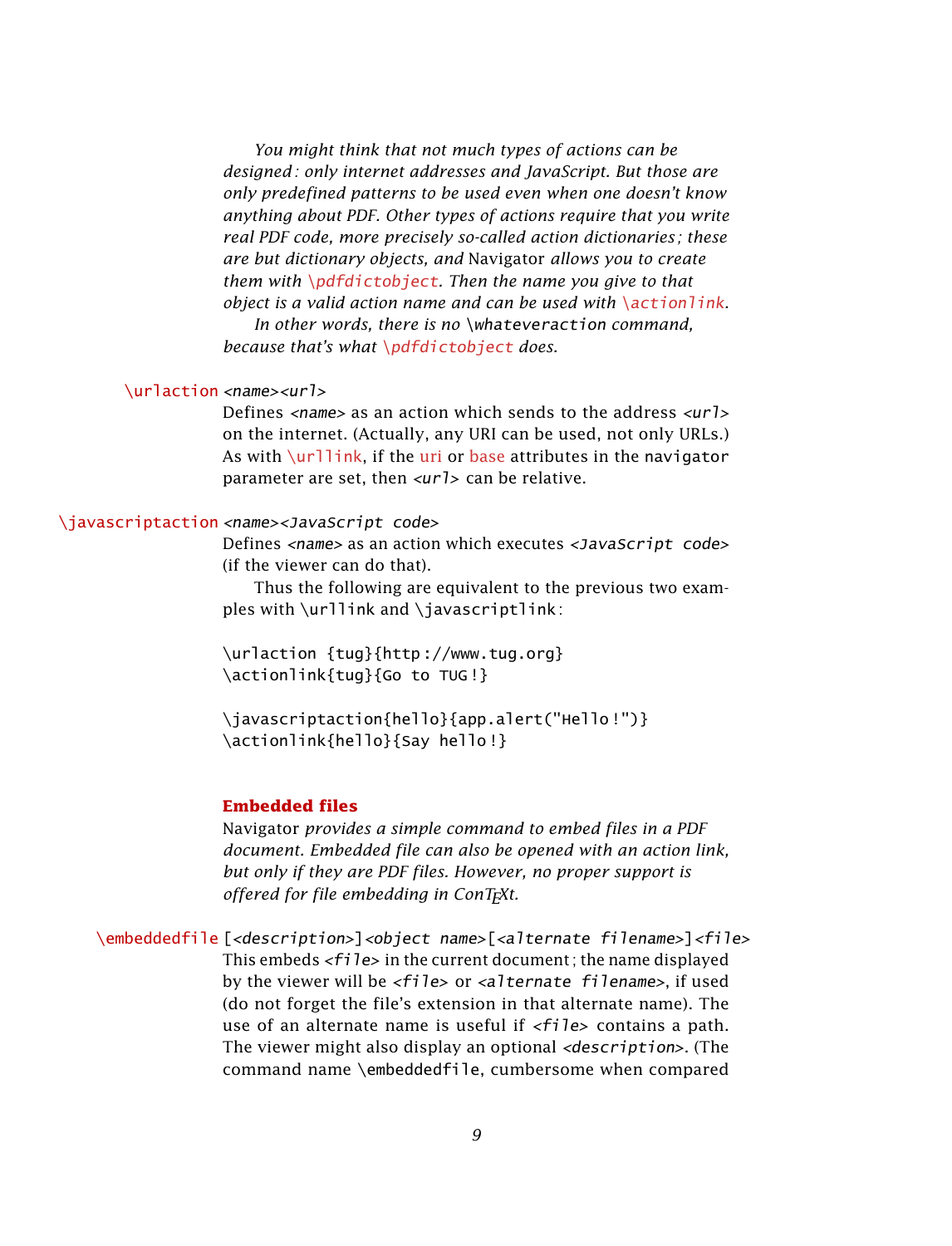*You might think that not much types of actions can be designed : only internet addresses and JavaScript. But those are only predefined patterns to be used even when one doesn't know anything about PDF. Other types of actions require that you write real PDF code, more precisely so-called action dictionaries ; these are but dictionary objects, and* Navigator *allows you to create them with* [\pdfdictobject](#page-13-0)*. Then the name you give to that object is a valid action name and can be used with* [\actionlink](#page-6-1)*.*

*In other words, there is no* \whateveraction *command, because that's what* [\pdfdictobject](#page-13-0) *does.*

#### <span id="page-8-2"></span>\urlaction <name><url>

Defines  $\langle$ name $\rangle$  as an action which sends to the address  $\langle$ url $\rangle$ on the internet. (Actually, any URI can be used, not only URLs.) As with  $\url1\ink$ , if the [uri](#page-12-1) or [base](#page-12-2) attributes in the navigator parameter are set, then  $\langle \text{ur1} \rangle$  can be relative.

## <span id="page-8-3"></span>\javascriptaction <name><JavaScript code>

Defines <name> as an action which executes <JavaScript code> (if the viewer can do that).

Thus the following are equivalent to the previous two examples with  $\urllink$  and  $\jav$ avascriptlink:

\urlaction {tug}{http ://www.tug.org} \actionlink{tug}{Go to TUG !}

\javascriptaction{hello}{app.alert("Hello !")} \actionlink{hello}{Say hello !}

## <span id="page-8-0"></span>**Embedded files**

Navigator *provides a simple command to embed files in a PDF document. Embedded file can also be opened with an action link, but only if they are PDF files. However, no proper support is offered for file embedding in ConTEXt.*

<span id="page-8-1"></span>\embeddedfile [<description>]<object name>[<alternate filename>]<file> This embeds  $\langle f_i \rangle$  and the current document; the name displayed by the viewer will be <file> or <alternate filename>, if used (do not forget the file's extension in that alternate name). The use of an alternate name is useful if  $\langle$  file> contains a path. The viewer might also display an optional <description>. (The command name \embeddedfile, cumbersome when compared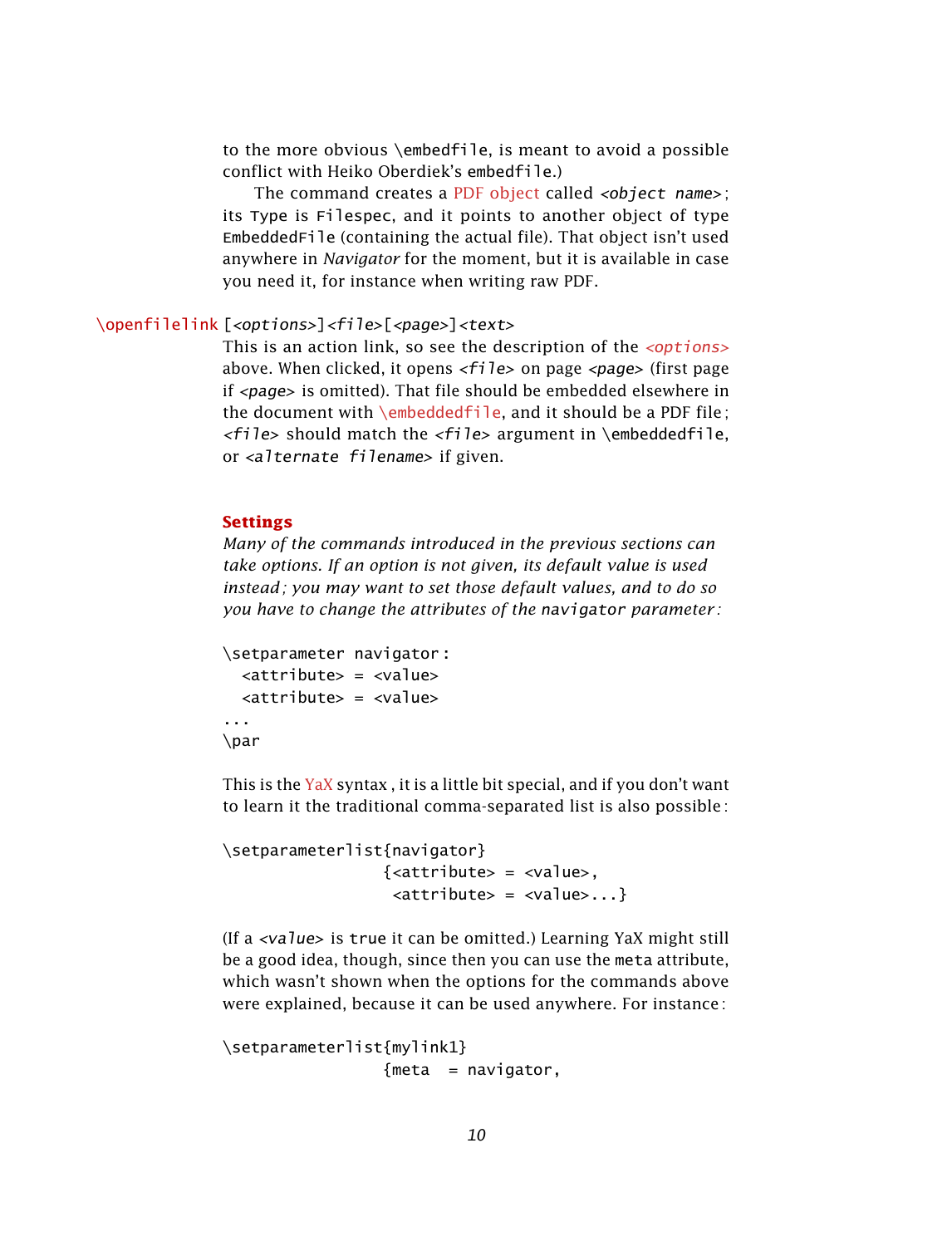to the more obvious \embedfile, is meant to avoid a possible conflict with Heiko Oberdiek's embedfile.)

The command creates a [PDF object](#page-12-0) called <object name>; its Type is Filespec, and it points to another object of type EmbeddedFile (containing the actual file). That object isn't used anywhere in *Navigator* for the moment, but it is available in case you need it, for instance when writing raw PDF.

## <span id="page-9-0"></span>\openfilelink [<options>]<file>[<page>]<text>

This is an action link, so see the description of the  $\leq$ options> above. When clicked, it opens  $\langle$  file> on page  $\langle$  page> (first page if <page> is omitted). That file should be embedded elsewhere in the document with  $\emph{embeddedfile}$ , and it should be a PDF file;  $\langle$ file> should match the  $\langle$ file> argument in \embeddedfile, or <alternate filename> if given.

#### **Settings**

*Many of the commands introduced in the previous sections can take options. If an option is not given, its default value is used instead ; you may want to set those default values, and to do so you have to change the attributes of the* navigator *parameter :*

```
\setparameter navigator :
  \langleattribute> = \langlevalue>
  <attribute> = <value>
...
\par
```
This is the [YaX](http://tug.ctan.org/cgi-bin/ctanPackageInformation.py?id=yax) syntax, it is a little bit special, and if you don't want to learn it the traditional comma-separated list is also possible :

```
\setparameterlist{navigator}
                 \{zattribute> = <value>,
                  <attribute> = <value>...}
```
(If a <value> is true it can be omitted.) Learning YaX might still be a good idea, though, since then you can use the meta attribute, which wasn't shown when the options for the commands above were explained, because it can be used anywhere. For instance :

```
\setparameterlist{mylink1}
                {meta = navigator,
```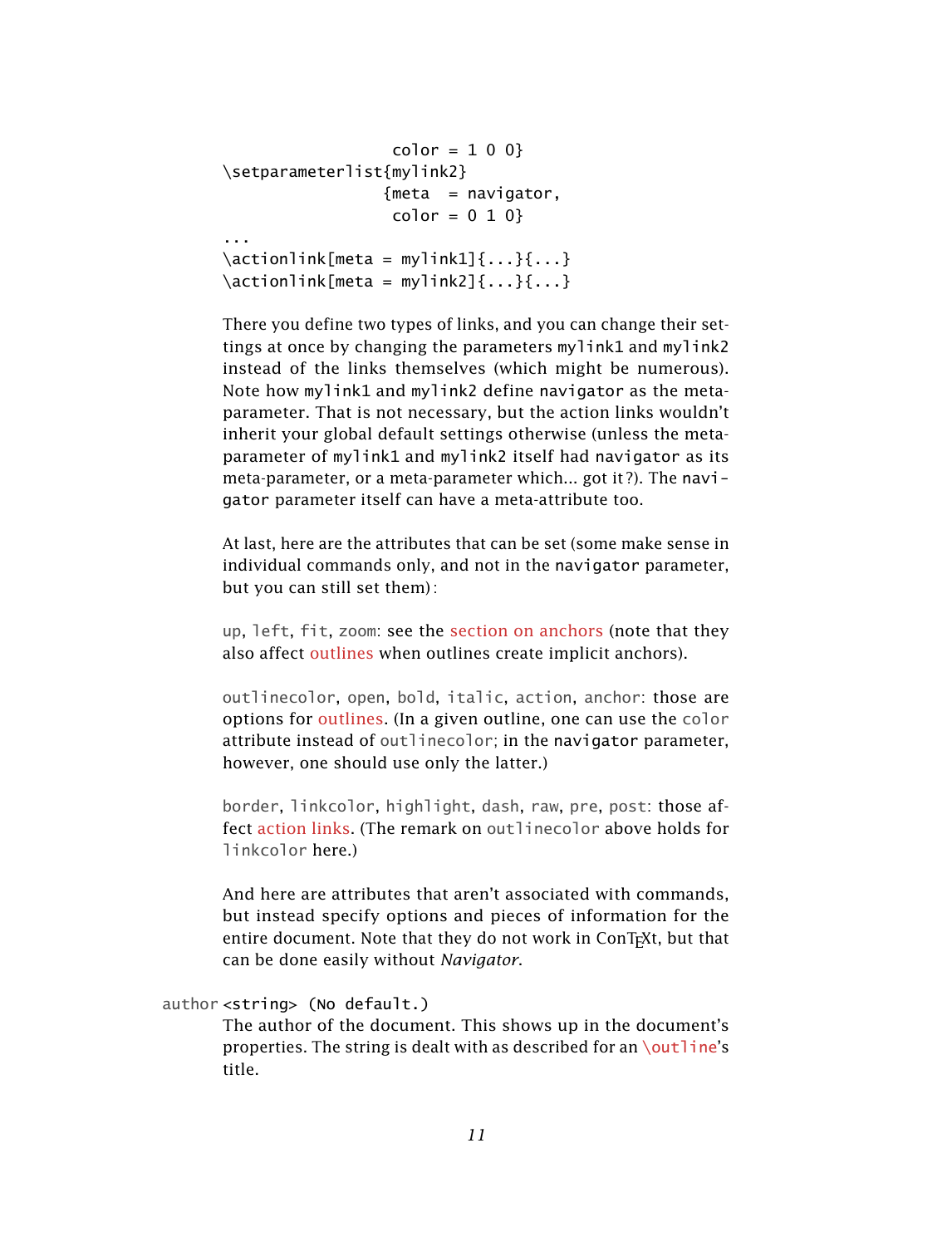```
color = 1 0 0}\setparameterlist{mylink2}
                     {meta = navigator,}color = 0 1 0}
...
\text{factor} \actionlink[meta = mylink1]{...}{...}
\lceil \arcsin \rceil actionlink [meta = mylink2] {...} {...}
```
There you define two types of links, and you can change their settings at once by changing the parameters mylink1 and mylink2 instead of the links themselves (which might be numerous). Note how mylink1 and mylink2 define navigator as the metaparameter. That is not necessary, but the action links wouldn't inherit your global default settings otherwise (unless the metaparameter of mylink1 and mylink2 itself had navigator as its meta-parameter, or a meta-parameter which... got it ?). The navigator parameter itself can have a meta-attribute too.

At last, here are the attributes that can be set (some make sense in individual commands only, and not in the navigator parameter, but you can still set them) :

up, left, fit, zoom: see the [section on anchors](#page-1-1) (note that they also affect [outlines](#page-2-0) when outlines create implicit anchors).

outlinecolor, open, bold, italic, action, anchor: those are options for [outlines](#page-2-0). (In a given outline, one can use the color attribute instead of outlinecolor; in the navigator parameter, however, one should use only the latter.)

border, linkcolor, highlight, dash, raw, pre, post: those affect [action links](#page-5-2). (The remark on outlinecolor above holds for linkcolor here.)

<span id="page-10-0"></span>And here are attributes that aren't associated with commands, but instead specify options and pieces of information for the entire document. Note that they do not work in ConT<sub>E</sub>Xt, but that can be done easily without *Navigator*.

# author <string> (No default.)

The author of the document. This shows up in the document's properties. The string is dealt with as described for an  $\outline$ 's title.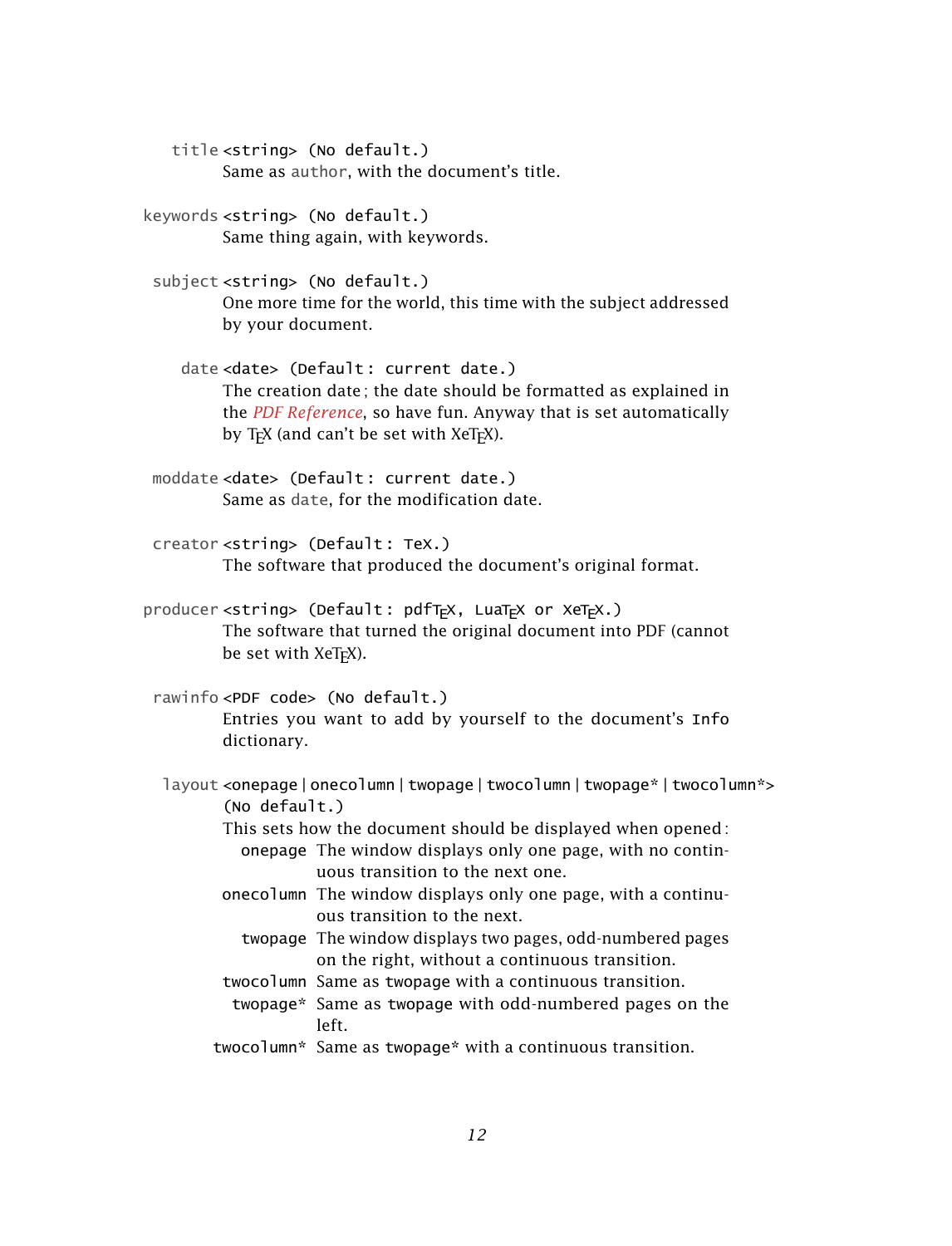title <string> (No default.) Same as author, with the document's title.

keywords <string> (No default.) Same thing again, with keywords.

subject <string> (No default.) One more time for the world, this time with the subject addressed by your document.

date <date> (Default : current date.) The creation date ; the date should be formatted as explained in the *[PDF Reference](http://www.adobe.com/content/dam/Adobe/en/devnet/pdf/pdfs/PDF32000_2008.pdf)*, so have fun. Anyway that is set automatically by  $T_FX$  (and can't be set with  $XeT_FX$ ).

moddate <date> (Default : current date.) Same as date, for the modification date.

creator <string> (Default : TeX.) The software that produced the document's original format.

producer <string> (Default: pdfTFX, LuaTFX or XeTFX.) The software that turned the original document into PDF (cannot be set with XeTFX).

rawinfo <PDF code> (No default.) Entries you want to add by yourself to the document's Info dictionary.

layout <onepage|onecolumn|twopage|twocolumn|twopage\*|twocolumn\*> (No default.)

> This sets how the document should be displayed when opened : onepage The window displays only one page, with no contin-

> > uous transition to the next one.

- onecolumn The window displays only one page, with a continuous transition to the next.
	- twopage The window displays two pages, odd-numbered pages on the right, without a continuous transition.
- twocolumn Same as twopage with a continuous transition.
- twopage\* Same as twopage with odd-numbered pages on the left.
- twocolumn\* Same as twopage\* with a continuous transition.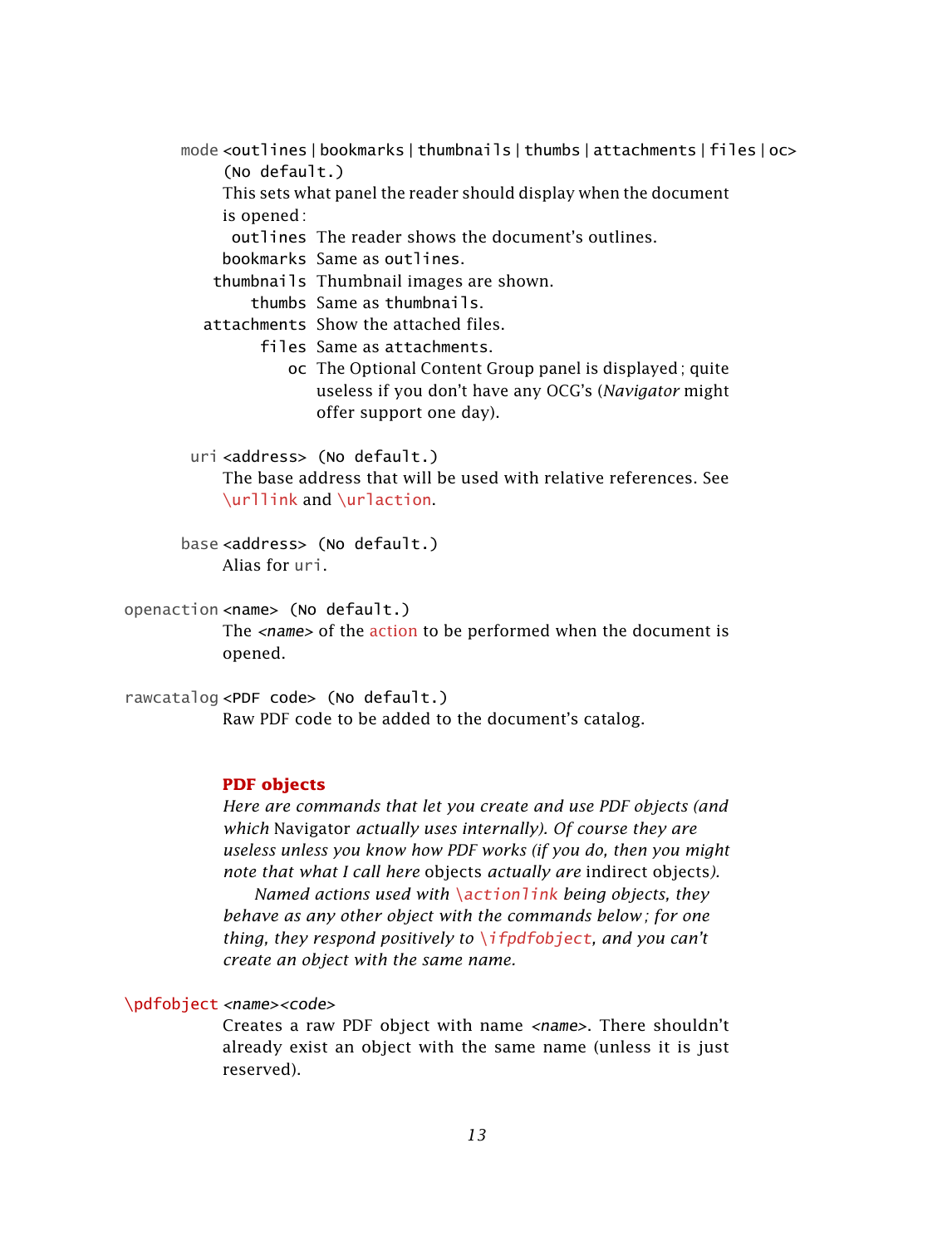mode <outlines | bookmarks | thumbnails | thumbs | attachments | files | oc>

(No default.)

This sets what panel the reader should display when the document is opened :

outlines The reader shows the document's outlines.

bookmarks Same as outlines.

thumbnails Thumbnail images are shown.

thumbs Same as thumbnails.

attachments Show the attached files.

files Same as attachments.

oc The Optional Content Group panel is displayed; quite useless if you don't have any OCG's (*Navigator* might offer support one day).

uri <address> (No default.)

<span id="page-12-1"></span>The base address that will be used with relative references. See [\urllink](#page-5-1) and [\urlaction](#page-8-2).

<span id="page-12-2"></span>base <address> (No default.) Alias for uri.

# openaction <name> (No default.)

The <name> of the [action](#page-7-0) to be performed when the document is opened.

rawcatalog <PDF code> (No default.) Raw PDF code to be added to the document's catalog.

# <span id="page-12-0"></span>**PDF objects**

*Here are commands that let you create and use PDF objects (and which* Navigator *actually uses internally). Of course they are useless unless you know how PDF works (if you do, then you might note that what I call here* objects *actually are* indirect objects*).*

*Named actions used with* [\actionlink](#page-6-1) *being objects, they behave as any other object with the commands below ; for one thing, they respond positively to* [\ifpdfobject](#page-14-0)*, and you can't create an object with the same name.*

# \pdfobject <name><code></sup>

Creates a raw PDF object with name <name>. There shouldn't already exist an object with the same name (unless it is just reserved).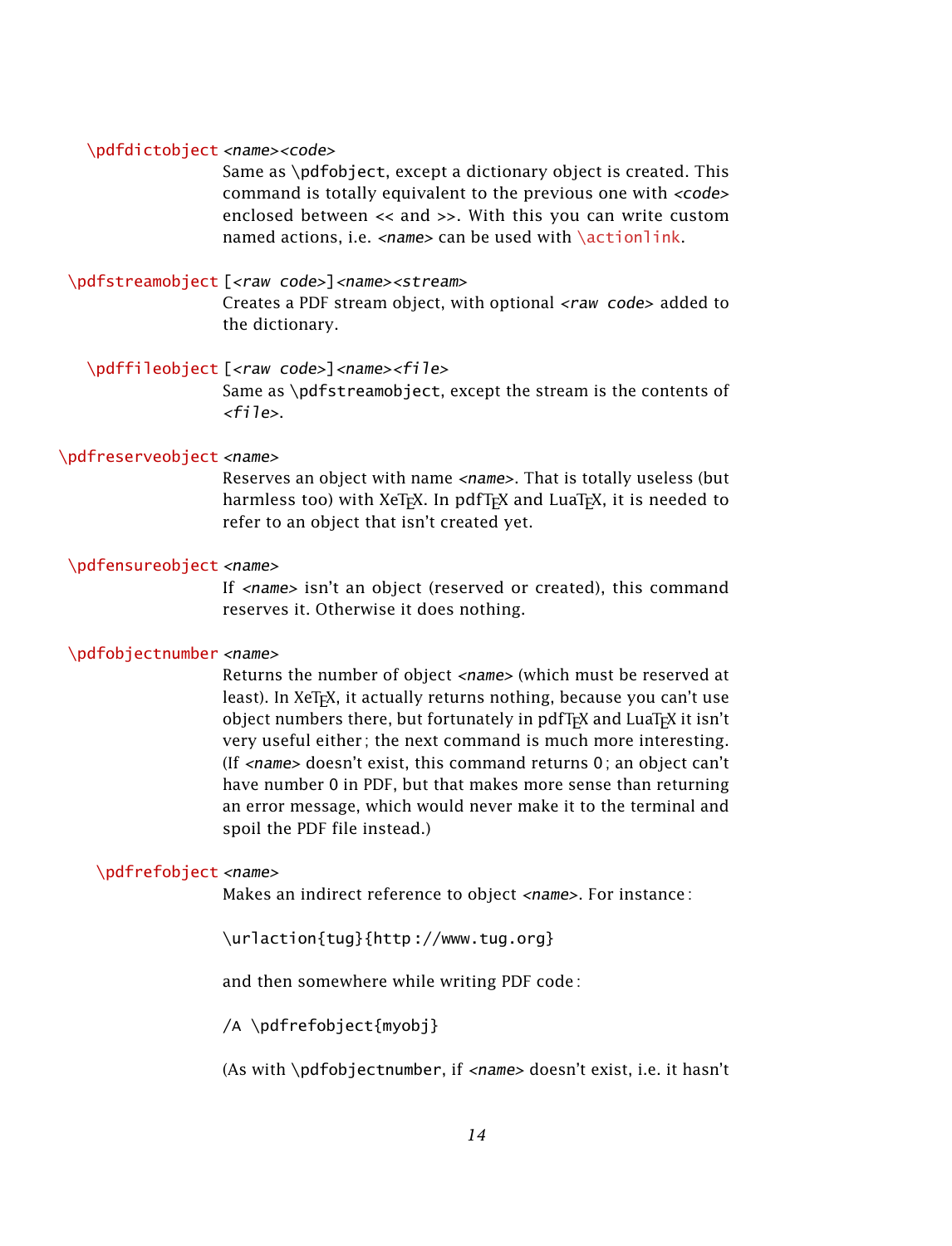#### <span id="page-13-0"></span>\pdfdictobject <name><code></sup>

Same as \pdfobject, except a dictionary object is created. This command is totally equivalent to the previous one with <code></code> enclosed between << and >>. With this you can write custom named actions, i.e. <name> can be used with [\actionlink](#page-6-1).

#### \pdfstreamobject [<raw code>]<name><stream>

Creates a PDF stream object, with optional <raw code> added to the dictionary.

\pdffileobject [<raw code>]<name><file>

Same as \pdfstreamobject, except the stream is the contents of  $<$ file $>$ .

#### \pdfreserveobject <name>

Reserves an object with name <name>. That is totally useless (but harmless too) with XeT<sub>F</sub>X. In pdfT<sub>F</sub>X and LuaT<sub>F</sub>X, it is needed to refer to an object that isn't created yet.

#### \pdfensureobject <name>

If <name> isn't an object (reserved or created), this command reserves it. Otherwise it does nothing.

#### \pdfobjectnumber <name>

Returns the number of object <name> (which must be reserved at least). In XeTEX, it actually returns nothing, because you can't use object numbers there, but fortunately in pdfT<sub>F</sub>X and LuaT<sub>F</sub>X it isn't very useful either ; the next command is much more interesting. (If  $\langle$ name> doesn't exist, this command returns 0; an object can't have number 0 in PDF, but that makes more sense than returning an error message, which would never make it to the terminal and spoil the PDF file instead.)

#### \pdfrefobject <name>

Makes an indirect reference to object <name>. For instance :

\urlaction{tug}{http ://www.tug.org}

and then somewhere while writing PDF code :

/A \pdfrefobject{myobj}

(As with \pdfobjectnumber, if <name> doesn't exist, i.e. it hasn't